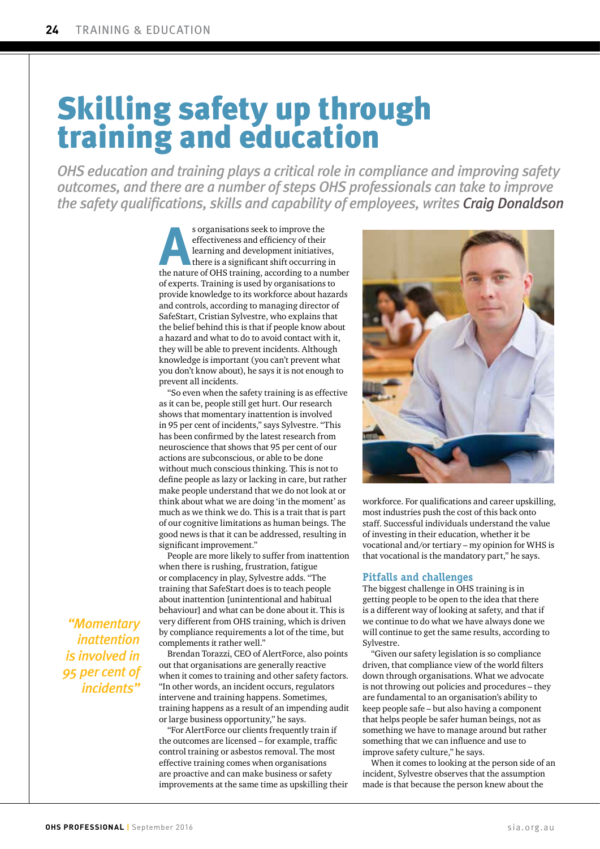# Skilling safety up through training and education

*OHS education and training plays a critical role in compliance and improving safety outcomes, and there are a number of steps OHS professionals can take to improve the safety qualifications, skills and capability of employees, writes Craig Donaldson*

> s organisations seek to improve the<br>effectiveness and efficiency of their<br>learning and development initiatives,<br>there is a significant shift occurring in<br>the nature of OHS training, according to a number s organisations seek to improve the effectiveness and efficiency of their learning and development initiatives, there is a significant shift occurring in of experts. Training is used by organisations to provide knowledge to its workforce about hazards and controls, according to managing director of SafeStart, Cristian Sylvestre, who explains that the belief behind this is that if people know about a hazard and what to do to avoid contact with it, they will be able to prevent incidents. Although knowledge is important (you can't prevent what you don't know about), he says it is not enough to prevent all incidents.

> "So even when the safety training is as effective as it can be, people still get hurt. Our research shows that momentary inattention is involved in 95 per cent of incidents," says Sylvestre. "This has been confirmed by the latest research from neuroscience that shows that 95 per cent of our actions are subconscious, or able to be done without much conscious thinking. This is not to define people as lazy or lacking in care, but rather make people understand that we do not look at or think about what we are doing 'in the moment' as much as we think we do. This is a trait that is part of our cognitive limitations as human beings. The good news is that it can be addressed, resulting in significant improvement."

> People are more likely to suffer from inattention when there is rushing, frustration, fatigue or complacency in play, Sylvestre adds. "The training that SafeStart does is to teach people about inattention [unintentional and habitual behaviour] and what can be done about it. This is very different from OHS training, which is driven by compliance requirements a lot of the time, but complements it rather well."

> Brendan Torazzi, CEO of AlertForce, also points out that organisations are generally reactive when it comes to training and other safety factors. "In other words, an incident occurs, regulators intervene and training happens. Sometimes, training happens as a result of an impending audit or large business opportunity," he says.

"For AlertForce our clients frequently train if the outcomes are licensed – for example, traffic control training or asbestos removal. The most effective training comes when organisations are proactive and can make business or safety improvements at the same time as upskilling their



workforce. For qualifications and career upskilling, most industries push the cost of this back onto staff. Successful individuals understand the value of investing in their education, whether it be vocational and/or tertiary – my opinion for WHS is that vocational is the mandatory part," he says.

#### **Pitfalls and challenges**

The biggest challenge in OHS training is in getting people to be open to the idea that there is a different way of looking at safety, and that if we continue to do what we have always done we will continue to get the same results, according to Sylvestre.

"Given our safety legislation is so compliance driven, that compliance view of the world filters down through organisations. What we advocate is not throwing out policies and procedures – they are fundamental to an organisation's ability to keep people safe – but also having a component that helps people be safer human beings, not as something we have to manage around but rather something that we can influence and use to improve safety culture," he says.

When it comes to looking at the person side of an incident, Sylvestre observes that the assumption made is that because the person knew about the

*"Momentary inattention is involved in 95 per cent of incidents"*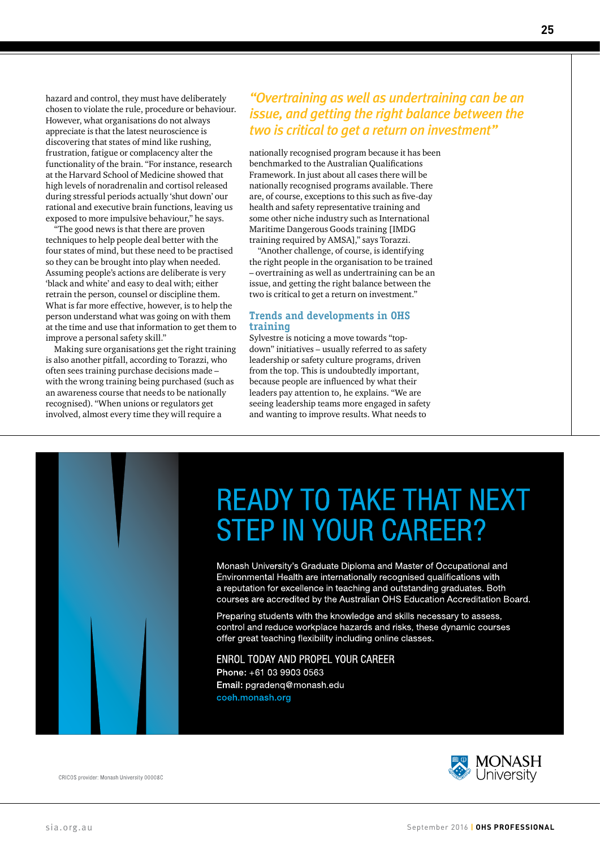hazard and control, they must have deliberately chosen to violate the rule, procedure or behaviour. However, what organisations do not always appreciate is that the latest neuroscience is discovering that states of mind like rushing, frustration, fatigue or complacency alter the functionality of the brain. "For instance, research at the Harvard School of Medicine showed that high levels of noradrenalin and cortisol released during stressful periods actually 'shut down' our rational and executive brain functions, leaving us exposed to more impulsive behaviour," he says.

"The good news is that there are proven techniques to help people deal better with the four states of mind, but these need to be practised so they can be brought into play when needed. Assuming people's actions are deliberate is very 'black and white' and easy to deal with; either retrain the person, counsel or discipline them. What is far more effective, however, is to help the person understand what was going on with them at the time and use that information to get them to improve a personal safety skill."

Making sure organisations get the right training is also another pitfall, according to Torazzi, who often sees training purchase decisions made – with the wrong training being purchased (such as an awareness course that needs to be nationally recognised). "When unions or regulators get involved, almost every time they will require a

### *"Overtraining as well as undertraining can be an issue, and getting the right balance between the two is critical to get a return on investment"*

nationally recognised program because it has been benchmarked to the Australian Qualifications Framework. In just about all cases there will be nationally recognised programs available. There are, of course, exceptions to this such as five-day health and safety representative training and some other niche industry such as International Maritime Dangerous Goods training [IMDG training required by AMSA]," says Torazzi.

"Another challenge, of course, is identifying the right people in the organisation to be trained – overtraining as well as undertraining can be an issue, and getting the right balance between the two is critical to get a return on investment."

#### **Trends and developments in OHS training**

Sylvestre is noticing a move towards "topdown" initiatives – usually referred to as safety leadership or safety culture programs, driven from the top. This is undoubtedly important, because people are influenced by what their leaders pay attention to, he explains. "We are seeing leadership teams more engaged in safety and wanting to improve results. What needs to



# **READY TO TAKE THAT NEXT STEP IN YOUR CAREER?**

Monash University's Graduate Diploma and Master of Occupational and Environmental Health are internationally recognised qualifications with a reputation for excellence in teaching and outstanding graduates. Both courses are accredited by the Australian OHS Education Accreditation Board.

Preparing students with the knowledge and skills necessary to assess, control and reduce workplace hazards and risks, these dynamic courses offer great teaching flexibility including online classes.

**ENROL TODAY AND PROPEL YOUR CAREER** Phone: +61 03 9903 0563 Email: pgradeng@monash.edu coeh.monash.org

**MONASH**<br>University

CRICOS provider: Monash University 00008C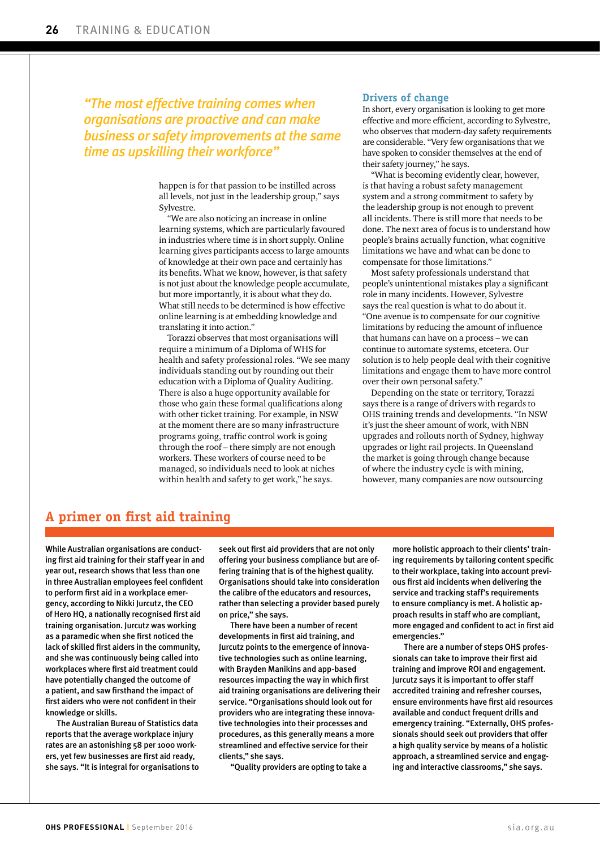### *"The most effective training comes when organisations are proactive and can make business or safety improvements at the same time as upskilling their workforce"*

happen is for that passion to be instilled across all levels, not just in the leadership group," says Sylvestre.

"We are also noticing an increase in online learning systems, which are particularly favoured in industries where time is in short supply. Online learning gives participants access to large amounts of knowledge at their own pace and certainly has its benefits. What we know, however, is that safety is not just about the knowledge people accumulate, but more importantly, it is about what they do. What still needs to be determined is how effective online learning is at embedding knowledge and translating it into action."

Torazzi observes that most organisations will require a minimum of a Diploma of WHS for health and safety professional roles. "We see many individuals standing out by rounding out their education with a Diploma of Quality Auditing. There is also a huge opportunity available for those who gain these formal qualifications along with other ticket training. For example, in NSW at the moment there are so many infrastructure programs going, traffic control work is going through the roof – there simply are not enough workers. These workers of course need to be managed, so individuals need to look at niches within health and safety to get work," he says.

#### **Drivers of change**

In short, every organisation is looking to get more effective and more efficient, according to Sylvestre, who observes that modern-day safety requirements are considerable. "Very few organisations that we have spoken to consider themselves at the end of their safety journey," he says.

"What is becoming evidently clear, however, is that having a robust safety management system and a strong commitment to safety by the leadership group is not enough to prevent all incidents. There is still more that needs to be done. The next area of focus is to understand how people's brains actually function, what cognitive limitations we have and what can be done to compensate for those limitations."

Most safety professionals understand that people's unintentional mistakes play a significant role in many incidents. However, Sylvestre says the real question is what to do about it. "One avenue is to compensate for our cognitive limitations by reducing the amount of influence that humans can have on a process – we can continue to automate systems, etcetera. Our solution is to help people deal with their cognitive limitations and engage them to have more control over their own personal safety."

Depending on the state or territory, Torazzi says there is a range of drivers with regards to OHS training trends and developments. "In NSW it's just the sheer amount of work, with NBN upgrades and rollouts north of Sydney, highway upgrades or light rail projects. In Queensland the market is going through change because of where the industry cycle is with mining, however, many companies are now outsourcing

## **A primer on first aid training**

While Australian organisations are conducting first aid training for their staff year in and year out, research shows that less than one in three Australian employees feel confident to perform first aid in a workplace emergency, according to Nikki Jurcutz, the CEO of Hero HQ, a nationally recognised first aid training organisation. Jurcutz was working as a paramedic when she first noticed the lack of skilled first aiders in the community, and she was continuously being called into workplaces where first aid treatment could have potentially changed the outcome of a patient, and saw firsthand the impact of first aiders who were not confident in their knowledge or skills.

The Australian Bureau of Statistics data reports that the average workplace injury rates are an astonishing 58 per 1000 workers, yet few businesses are first aid ready, she says. "It is integral for organisations to

seek out first aid providers that are not only offering your business compliance but are offering training that is of the highest quality. Organisations should take into consideration the calibre of the educators and resources, rather than selecting a provider based purely on price," she says.

There have been a number of recent developments in first aid training, and Jurcutz points to the emergence of innovative technologies such as online learning, with Brayden Manikins and app-based resources impacting the way in which first aid training organisations are delivering their service. "Organisations should look out for providers who are integrating these innovative technologies into their processes and procedures, as this generally means a more streamlined and effective service for their clients," she says.

"Quality providers are opting to take a

more holistic approach to their clients' training requirements by tailoring content specific to their workplace, taking into account previous first aid incidents when delivering the service and tracking staff's requirements to ensure compliancy is met. A holistic approach results in staff who are compliant, more engaged and confident to act in first aid emergencies."

There are a number of steps OHS professionals can take to improve their first aid training and improve ROI and engagement. Jurcutz says it is important to offer staff accredited training and refresher courses, ensure environments have first aid resources available and conduct frequent drills and emergency training. "Externally, OHS professionals should seek out providers that offer a high quality service by means of a holistic approach, a streamlined service and engaging and interactive classrooms," she says.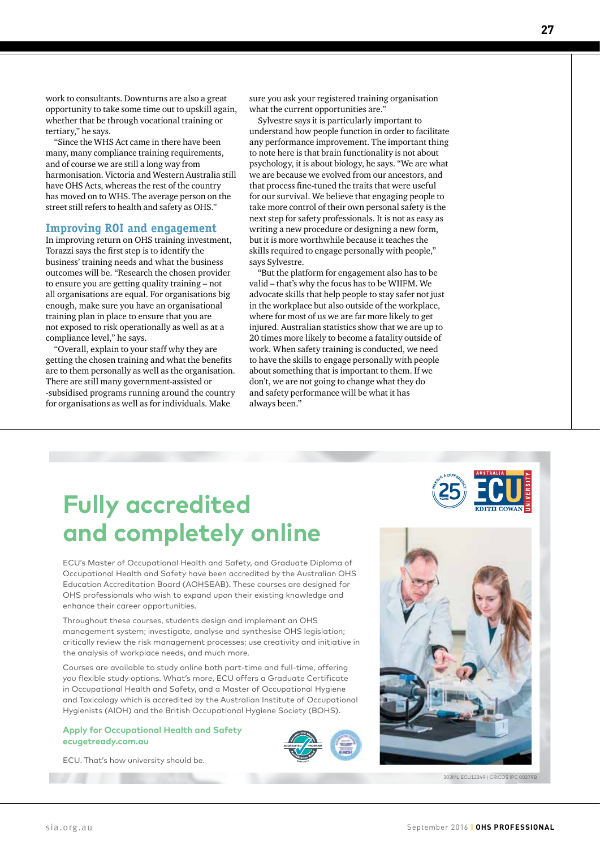work to consultants. Downturns are also a great opportunity to take some time out to upskill again, whether that be through vocational training or tertiary," he says.

"Since the WHS Act came in there have been many, many compliance training requirements, and of course we are still a long way from harmonisation. Victoria and Western Australia still have OHS Acts, whereas the rest of the country has moved on to WHS. The average person on the street still refers to health and safety as OHS."

#### **Improving ROI and engagement**

In improving return on OHS training investment, Torazzi says the first step is to identify the business' training needs and what the business outcomes will be. "Research the chosen provider to ensure you are getting quality training – not all organisations are equal. For organisations big enough, make sure you have an organisational training plan in place to ensure that you are not exposed to risk operationally as well as at a compliance level," he says.

"Overall, explain to your staff why they are getting the chosen training and what the benefits are to them personally as well as the organisation. There are still many government-assisted or -subsidised programs running around the country for organisations as well as for individuals. Make

sure you ask your registered training organisation what the current opportunities are."

Sylvestre says it is particularly important to understand how people function in order to facilitate any performance improvement. The important thing to note here is that brain functionality is not about psychology, it is about biology, he says. "We are what we are because we evolved from our ancestors, and that process fine-tuned the traits that were useful for our survival. We believe that engaging people to take more control of their own personal safety is the next step for safety professionals. It is not as easy as writing a new procedure or designing a new form, but it is more worthwhile because it teaches the skills required to engage personally with people," says Sylvestre.

"But the platform for engagement also has to be valid – that's why the focus has to be WIIFM. We advocate skills that help people to stay safer not just in the workplace but also outside of the workplace, where for most of us we are far more likely to get injured. Australian statistics show that we are up to 20 times more likely to become a fatality outside of work. When safety training is conducted, we need to have the skills to engage personally with people about something that is important to them. If we don't, we are not going to change what they do and safety performance will be what it has always been."

## **Fully accredited and completely online**

ECU's Master of Occupational Health and Safety, and Graduate Diploma of Occupational Health and Safety have been accredited by the Australian OHS Education Accreditation Board (AOHSEAB). These courses are designed for OHS professionals who wish to expand upon their existing knowledge and enhance their career opportunities.

Throughout these courses, students design and implement an OHS management system; investigate, analyse and synthesise OHS legislation; critically review the risk management processes; use creativity and initiative in the analysis of workplace needs, and much more.

Courses are available to study online both part-time and full-time, offering you flexible study options. What's more, ECU offers a Graduate Certificate in Occupational Health and Safety, and a Master of Occupational Hygiene and Toxicology which is accredited by the Australian Institute of Occupational Hygienists (AIOH) and the British Occupational Hygiene Society (BOHS).

#### **Apply for Occupational Health and Safety ecugetready.com.au**

ECU. That's how university should be.





303ML ECU12349 | CRICOS IPC 00279B